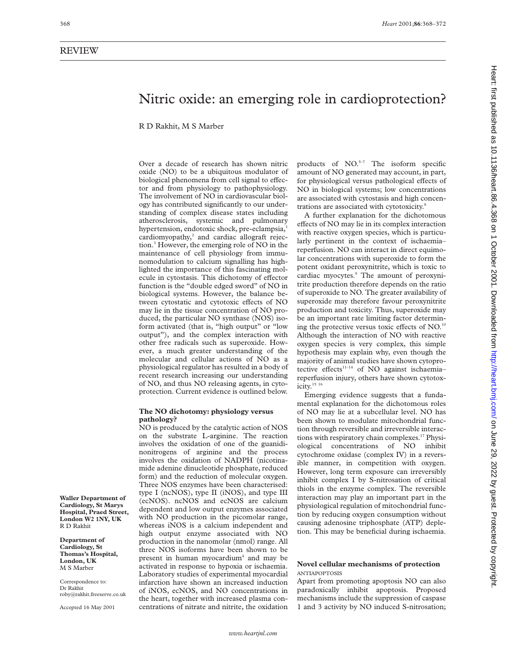# Heart: first published as 10.1136/heart.86.4.368 on 1 October 2001. Downloaded from http://heart.bmj.com/ on June 29, 2022 by guest. Protected by copyright on June 29, 2022 by guest. Protected by copyright. <http://heart.bmj.com/> Heart: first published as 10.1136/heart.86.4.368 on 1 October 2001. Downloaded from

# Nitric oxide: an emerging role in cardioprotection?

R D Rakhit, M S Marber

Over a decade of research has shown nitric oxide (NO) to be a ubiquitous modulator of biological phenomena from cell signal to effector and from physiology to pathophysiology. The involvement of NO in cardiovascular biology has contributed significantly to our understanding of complex disease states including atherosclerosis, systemic and pulmonary hypertension, endotoxic shock, pre-eclampsia,<sup>1</sup> cardiomyopathy, $2$  and cardiac allograft rejection.3 However, the emerging role of NO in the maintenance of cell physiology from immunomodulation to calcium signalling has highlighted the importance of this fascinating molecule in cytostasis. This dichotomy of effector function is the "double edged sword" of NO in biological systems. However, the balance between cytostatic and cytotoxic effects of NO may lie in the tissue concentration of NO produced, the particular NO synthase (NOS) isoform activated (that is, "high output" or "low output"), and the complex interaction with other free radicals such as superoxide. However, a much greater understanding of the molecular and cellular actions of NO as a physiological regulator has resulted in a body of recent research increasing our understanding of NO, and thus NO releasing agents, in cytoprotection. Current evidence is outlined below.

# **The NO dichotomy: physiology versus pathology?**

NO is produced by the catalytic action of NOS on the substrate L-arginine. The reaction involves the oxidation of one of the guanidinonitrogens of arginine and the process involves the oxidation of NADPH (nicotinamide adenine dinucleotide phosphate, reduced form) and the reduction of molecular oxygen. Three NOS enzymes have been characterised: type I (ncNOS), type II (iNOS), and type III (ecNOS). ncNOS and ecNOS are calcium dependent and low output enzymes associated with NO production in the picomolar range, whereas iNOS is a calcium independent and high output enzyme associated with NO production in the nanomolar (nmol) range. All three NOS isoforms have been shown to be present in human myocardium<sup>4</sup> and may be activated in response to hypoxia or ischaemia. Laboratory studies of experimental myocardial infarction have shown an increased induction of iNOS, ecNOS, and NO concentrations in the heart, together with increased plasma concentrations of nitrate and nitrite, the oxidation

products of  $NO<sub>5-7</sub>$  The isoform specific amount of NO generated may account, in part, for physiological versus pathological effects of NO in biological systems; low concentrations are associated with cytostasis and high concentrations are associated with cytotoxicity.<sup>8</sup>

A further explanation for the dichotomous effects of NO may lie in its complex interaction with reactive oxygen species, which is particularly pertinent in the context of ischaemia– reperfusion. NO can interact in direct equimolar concentrations with superoxide to form the potent oxidant peroxynitrite, which is toxic to cardiac myocytes.<sup>9</sup> The amount of peroxynitrite production therefore depends on the ratio of superoxide to NO. The greater availability of superoxide may therefore favour peroxynitrite production and toxicity. Thus, superoxide may be an important rate limiting factor determining the protective versus toxic effects of  $NO$ .<sup>10</sup> Although the interaction of NO with reactive oxygen species is very complex, this simple hypothesis may explain why, even though the majority of animal studies have shown cytoprotective effects<sup>11-14</sup> of NO against ischaemiareperfusion injury, others have shown cytotoxicity.<sup>15 16</sup>

Emerging evidence suggests that a fundamental explanation for the dichotomous roles of NO may lie at a subcellular level. NO has been shown to modulate mitochondrial function through reversible and irreversible interactions with respiratory chain complexes.17 Physiological concentrations of NO inhibit cytochrome oxidase (complex IV) in a reversible manner, in competition with oxygen. However, long term exposure can irreversibly inhibit complex I by S-nitrosation of critical thiols in the enzyme complex. The reversible interaction may play an important part in the physiological regulation of mitochondrial function by reducing oxygen consumption without causing adenosine triphosphate (ATP) depletion. This may be beneficial during ischaemia.

# **Novel cellular mechanisms of protection** ANTIAPOPTOSIS

Apart from promoting apoptosis NO can also paradoxically inhibit apoptosis. Proposed mechanisms include the suppression of caspase 1 and 3 activity by NO induced S-nitrosation;

**Waller Department of Cardiology, St Marys Hospital, Praed Street, London W2 1NY, UK** R D Rakhit

**Department of Cardiology, St Thomas's Hospital, London, UK** M S Marber

Correspondence to: Dr Rakhit roby@rakhit.freeserve.co.uk

Accepted 16 May 2001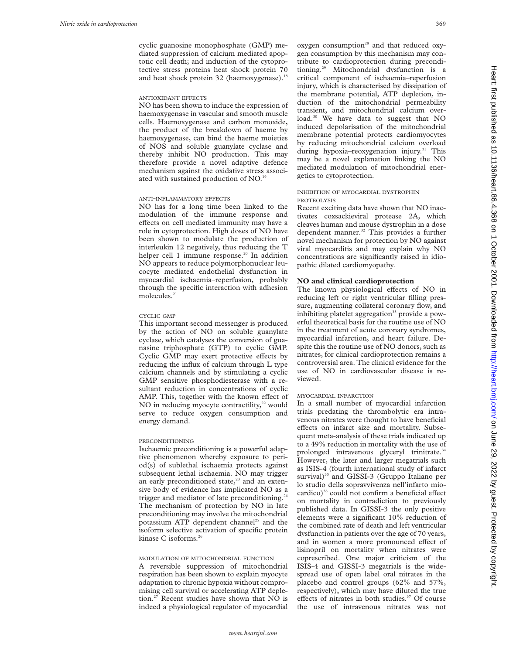cyclic guanosine monophosphate (GMP) mediated suppression of calcium mediated apoptotic cell death; and induction of the cytoprotective stress proteins heat shock protein 70 and heat shock protein 32 (haemoxygenase).<sup>18</sup>

#### ANTIOXIDANT EFFECTS

NO has been shown to induce the expression of haemoxygenase in vascular and smooth muscle cells. Haemoxygenase and carbon monoxide, the product of the breakdown of haeme by haemoxygenase, can bind the haeme moieties of NOS and soluble guanylate cyclase and thereby inhibit NO production. This may therefore provide a novel adaptive defence mechanism against the oxidative stress associated with sustained production of NO.<sup>19</sup>

# ANTI-INFLAMMATORY EFFECTS

NO has for a long time been linked to the modulation of the immune response and effects on cell mediated immunity may have a role in cytoprotection. High doses of NO have been shown to modulate the production of interleukin 12 negatively, thus reducing the T helper cell 1 immune response.<sup>20</sup> In addition NO appears to reduce polymorphonuclear leucocyte mediated endothelial dysfunction in myocardial ischaemia–reperfusion, probably through the specific interaction with adhesion molecules.<sup>21</sup>

#### CYCLIC GMP

This important second messenger is produced by the action of NO on soluble guanylate cyclase, which catalyses the conversion of guanasine triphosphate (GTP) to cyclic GMP. Cyclic GMP may exert protective effects by reducing the influx of calcium through L type calcium channels and by stimulating a cyclic GMP sensitive phosphodiesterase with a resultant reduction in concentrations of cyclic AMP. This, together with the known effect of NO in reducing myocyte contractility, $2<sup>22</sup>$  would serve to reduce oxygen consumption and energy demand.

# PRECONDITIONING

Ischaemic preconditioning is a powerful adaptive phenomenon whereby exposure to period(s) of sublethal ischaemia protects against subsequent lethal ischaemia. NO may trigger an early preconditioned state, $23$  and an extensive body of evidence has implicated NO as a trigger and mediator of late preconditioning.<sup>24</sup> The mechanism of protection by NO in late preconditioning may involve the mitochondrial potassium ATP dependent channel<sup>25</sup> and the isoform selective activation of specific protein kinase C isoforms. $26$ 

# MODULATION OF MITOCHONDRIAL FUNCTION

A reversible suppression of mitochondrial respiration has been shown to explain myocyte adaptation to chronic hypoxia without compromising cell survival or accelerating ATP depletion.27 Recent studies have shown that NO is indeed a physiological regulator of myocardial oxygen consumption<sup>28</sup> and that reduced oxygen consumption by this mechanism may contribute to cardioprotection during preconditioning.29 Mitochondrial dysfunction is a critical component of ischaemia–reperfusion injury, which is characterised by dissipation of the membrane potential, ATP depletion, induction of the mitochondrial permeability transient, and mitochondrial calcium overload.30 We have data to suggest that NO induced depolarisation of the mitochondrial membrane potential protects cardiomyocytes by reducing mitochondrial calcium overload during hypoxia–reoxygenation injury.<sup>31</sup> This may be a novel explanation linking the NO mediated modulation of mitochondrial energetics to cytoprotection.

#### INHIBITION OF MYOCARDIAL DYSTROPHIN PROTEOLYSIS

Recent exciting data have shown that NO inactivates coxsackieviral protease 2A, which cleaves human and mouse dystrophin in a dose dependent manner.<sup>32</sup> This provides a further novel mechanism for protection by NO against viral myocarditis and may explain why NO concentrations are significantly raised in idiopathic dilated cardiomyopathy.

# **NO and clinical cardioprotection**

The known physiological effects of NO in reducing left or right ventricular filling pressure, augmenting collateral coronary flow, and inhibiting platelet aggregation<sup>33</sup> provide a powerful theoretical basis for the routine use of NO in the treatment of acute coronary syndromes, myocardial infarction, and heart failure. Despite this the routine use of NO donors, such as nitrates, for clinical cardioprotection remains a controversial area. The clinical evidence for the use of NO in cardiovascular disease is reviewed.

# MYOCARDIAL INFARCTION

In a small number of myocardial infarction trials predating the thrombolytic era intravenous nitrates were thought to have beneficial effects on infarct size and mortality. Subsequent meta-analysis of these trials indicated up to a 49% reduction in mortality with the use of prolonged intravenous glyceryl trinitrate.<sup>34</sup> However, the later and larger megatrials such as ISIS-4 (fourth international study of infarct survival) $35$  and GISSI-3 (Gruppo Italiano per lo studio della sopravvivenza nell'infarto miocardico) $36$  could not confirm a beneficial effect on mortality in contradiction to previously published data. In GISSI-3 the only positive elements were a significant 10% reduction of the combined rate of death and left ventricular dysfunction in patients over the age of 70 years, and in women a more pronounced effect of lisinopril on mortality when nitrates were coprescribed. One major criticism of the ISIS-4 and GISSI-3 megatrials is the widespread use of open label oral nitrates in the placebo and control groups (62% and 57%, respectively), which may have diluted the true effects of nitrates in both studies. $37$  Of course the use of intravenous nitrates was not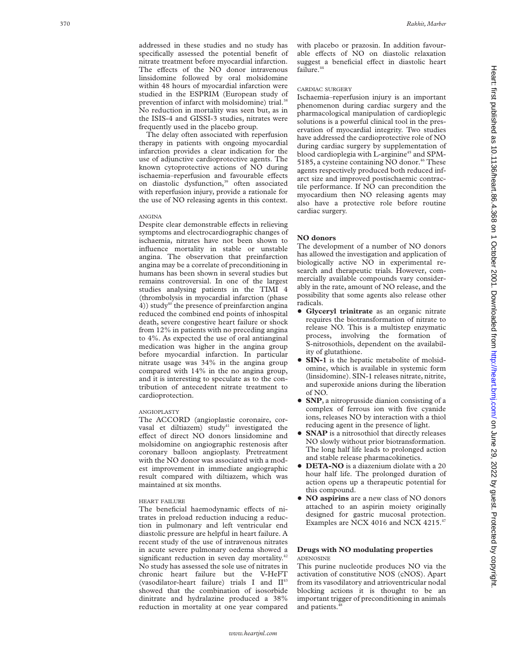addressed in these studies and no study has specifically assessed the potential benefit of nitrate treatment before myocardial infarction. The effects of the NO donor intravenous linsidomine followed by oral molsidomine within 48 hours of myocardial infarction were studied in the ESPRIM (European study of prevention of infarct with molsidomine) trial.<sup>38</sup> No reduction in mortality was seen but, as in the ISIS-4 and GISSI-3 studies, nitrates were frequently used in the placebo group.

The delay often associated with reperfusion therapy in patients with ongoing myocardial infarction provides a clear indication for the use of adjunctive cardioprotective agents. The known cytoprotective actions of NO during ischaemia-reperfusion and favourable effects on diastolic dysfunction,<sup>39</sup> often associated with reperfusion injury, provide a rationale for the use of NO releasing agents in this context.

# ANGINA

Despite clear demonstrable effects in relieving symptoms and electrocardiographic changes of ischaemia, nitrates have not been shown to influence mortality in stable or unstable angina. The observation that preinfarction angina may be a correlate of preconditioning in humans has been shown in several studies but remains controversial. In one of the largest studies analysing patients in the TIMI 4 (thrombolysis in myocardial infarction (phase 4)) study<sup>40</sup> the presence of preinfarction angina reduced the combined end points of inhospital death, severe congestive heart failure or shock from 12% in patients with no preceding angina to 4%. As expected the use of oral antianginal medication was higher in the angina group before myocardial infarction. In particular nitrate usage was 34% in the angina group compared with 14% in the no angina group, and it is interesting to speculate as to the contribution of antecedent nitrate treatment to cardioprotection.

# ANGIOPLASTY

The ACCORD (angioplastie coronaire, corvasal et diltiazem) study<sup>41</sup> investigated the effect of direct NO donors linsidomine and molsidomine on angiographic restenosis after coronary balloon angioplasty. Pretreatment with the NO donor was associated with a modest improvement in immediate angiographic result compared with diltiazem, which was maintained at six months.

#### HEART FAILURE

The beneficial haemodynamic effects of nitrates in preload reduction inducing a reduction in pulmonary and left ventricular end diastolic pressure are helpful in heart failure. A recent study of the use of intravenous nitrates in acute severe pulmonary oedema showed a significant reduction in seven day mortality.<sup>42</sup> No study has assessed the sole use of nitrates in chronic heart failure but the V-HeFT (vasodilator-heart failure) trials I and  $II^{43}$ showed that the combination of isosorbide dinitrate and hydralazine produced a 38% reduction in mortality at one year compared

with placebo or prazosin. In addition favourable effects of NO on diastolic relaxation suggest a beneficial effect in diastolic heart failure.<sup>44</sup>

# CARDIAC SURGERY

Ischaemia–reperfusion injury is an important phenomenon during cardiac surgery and the pharmacological manipulation of cardioplegic solutions is a powerful clinical tool in the preservation of myocardial integrity. Two studies have addressed the cardioprotective role of NO during cardiac surgery by supplementation of blood cardioplegia with L-arginine<sup>45</sup> and SPM-5185, a cysteine containing NO donor.<sup>46</sup> These agents respectively produced both reduced infarct size and improved postischaemic contractile performance. If NO can precondition the myocardium then NO releasing agents may also have a protective role before routine cardiac surgery.

# **NO donors**

The development of a number of NO donors has allowed the investigation and application of biologically active NO in experimental research and therapeutic trials. However, commercially available compounds vary considerably in the rate, amount of NO release, and the possibility that some agents also release other radicals.

- + **Glyceryl trinitrate** as an organic nitrate requires the biotransformation of nitrate to release NO. This is a multistep enzymatic process, involving the formation of S-nitrosothiols, dependent on the availability of glutathione.
- **SIN-1** is the hepatic metabolite of molsidomine, which is available in systemic form (linsidomine). SIN-1 releases nitrate, nitrite, and superoxide anions during the liberation of NO.
- **SNP**, a nitroprusside dianion consisting of a complex of ferrous ion with five cyanide ions, releases NO by interaction with a thiol reducing agent in the presence of light.
- **SNAP** is a nitrosothiol that directly releases NO slowly without prior biotransformation. The long half life leads to prolonged action and stable release pharmacokinetics.
- **DETA-NO** is a diazenium diolate with a 20 hour half life. The prolonged duration of action opens up a therapeutic potential for this compound.
- + **NO aspirins** are a new class of NO donors attached to an aspirin moiety originally designed for gastric mucosal protection. Examples are NCX 4016 and NCX 4215.<sup>47</sup>

# **Drugs with NO modulating properties** ADENOSINE

This purine nucleotide produces NO via the activation of constitutive NOS (cNOS). Apart from its vasodilatory and atrioventricular nodal blocking actions it is thought to be an important trigger of preconditioning in animals and patients.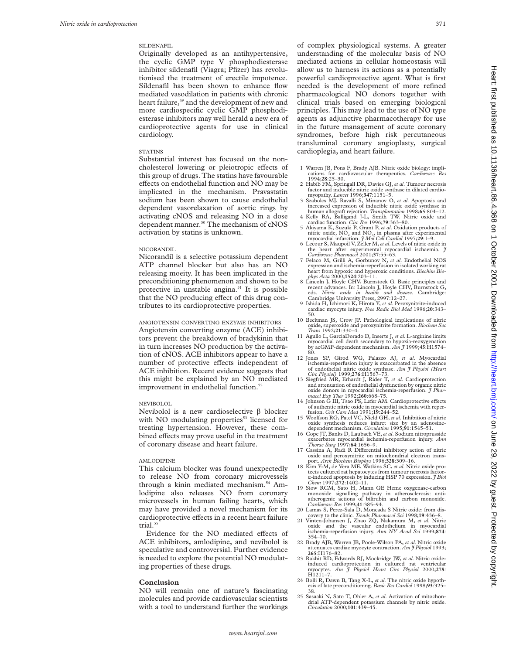# SILDENAFIL

Originally developed as an antihypertensive, the cyclic GMP type V phosphodiesterase inhibitor sildenafil (Viagra; Pfizer) has revolutionised the treatment of erectile impotence. Sildenafil has been shown to enhance flow mediated vasodilation in patients with chronic heart failure,<sup>49</sup> and the development of new and more cardiospecific cyclic GMP phosphodiesterase inhibitors may well herald a new era of cardioprotective agents for use in clinical cardiology.

# **STATINS**

Substantial interest has focused on the noncholesterol lowering or pleiotropic effects of this group of drugs. The statins have favourable effects on endothelial function and NO may be implicated in the mechanism. Pravastatin sodium has been shown to cause endothelial dependent vasorelaxation of aortic rings by activating cNOS and releasing NO in a dose dependent manner.<sup>50</sup> The mechanism of cNOS activation by statins is unknown.

#### NICORANDIL

Nicorandil is a selective potassium dependent ATP channel blocker but also has an NO releasing moeity. It has been implicated in the preconditioning phenomenon and shown to be protective in unstable angina.<sup>51</sup> It is possible that the NO producing effect of this drug contributes to its cardioprotective properties.

ANGIOTENSIN CONVERTING ENZYME INHIBITORS Angiotensin converting enzyme (ACE) inhibitors prevent the breakdown of bradykinin that in turn increases NO production by the activation of cNOS. ACE inhibitors appear to have a number of protective effects independent of ACE inhibition. Recent evidence suggests that this might be explained by an NO mediated improvement in endothelial function.<sup>52</sup>

# NEVIBOLOL

Nevibolol is a new cardioselective  $\beta$  blocker with NO modulating properties<sup>53</sup> licensed for treating hypertension. However, these combined effects may prove useful in the treatment of coronary disease and heart failure.

## AMLODIPINE

This calcium blocker was found unexpectedly to release NO from coronary microvessels through a kinin mediated mechanism.<sup>54</sup> Amlodipine also releases NO from coronary microvessels in human failing hearts, which may have provided a novel mechanism for its cardioprotective effects in a recent heart failure trial<sup>5</sup>

Evidence for the NO mediated effects of ACE inhibitors, amlodipine, and nevibolol is speculative and controversial. Further evidence is needed to explore the potential NO modulating properties of these drugs.

# **Conclusion**

NO will remain one of nature's fascinating molecules and provide cardiovascular scientists with a tool to understand further the workings

of complex physiological systems. A greater understanding of the molecular basis of NO mediated actions in cellular homeostasis will allow us to harness its actions as a potentially powerful cardioprotective agent. What is first needed is the development of more refined pharmacological NO donors together with clinical trials based on emerging biological principles. This may lead to the use of NO type agents as adjunctive pharmacotherapy for use in the future management of acute coronary syndromes, before high risk percutaneous transluminal coronary angioplasty, surgical cardioplegia, and heart failure.

- 1 Warren JB, Pons F, Brady AJB. Nitric oxide biology: implications for cardiovascular therapeutics. *Cardiovasc Res* 1994;**28**:25–30.
- 2 Habib FM, Springall DR, Davies GJ, *et al*. Tumour necrosis factor and inducible nitric oxide synthase in dilated cardio-myopathy. *Lancet* 1996;**347**:1151–5.
- 3 Szabolcs MJ, Ravalli S, Minanov O, *et al*. Apoptosis and increased expression of inducible nitric oxide synthase in<br>human allograft rejection. Transplantation 1998;65:804-12.
- 4 Kelly RA, Balligand J-L, Smith TW. Nitric oxide and cardiac function. *Circ Res* 1996;**79**:363–80.
- 5 Akiyama K, Suzuki P, Grant P, *et al*. Oxidation products of nitric oxide, NO<sub>2</sub> and NO<sub>3</sub>, in plasma after experimental myocardial infarction. *J Mol Cell Cardiol* 1997;29:1–9.
- 6 Lecour S, Maupoil V, Zeller M,*et al*. Levels of nitric oxide in the heart after experimental myocardial ischaemia. *J Cardiovasc Pharmacol* 2001;**37**:55–63.
- 7 Felaco M, Grilli A, Gorbunov N, *et al*. Endothelial NOS expression and ischemia-reperfusion in isolated working rat heart from hypoxic and hyperoxic conditions. *Biochim Bio-*<br> *phys Acta* 2000;**1524**:203–11.<br>
8 Lincoln J, Hoyle CHV, Burnstock G. Basic principles and
- recent advances. In: Lincoln J, Hoyle CHV, Burnstock G, eds. *Nitric oxide in health and disease.* Cambridge: Cambridge University Press, 2997:12–27. 9 Ishida H, Ichimori K, Hirota Y, *et al*. Peroxynitrite-induced
- cardiac myocyte injury. *Free Radic Biol Med* 1996;**20**:343–
- 50. 10 Beckman JS, Crow JP. Pathological implications of nitric oxide, superoxide and peroxynitrite formation. *Biochem Soc Trans* 1992;**21**:330–4. 11 Agullo L, GarciaDorado D, Inserte J, *et al*. L-arginine limits
- myocardial cell death secondary to hypoxia-reoxygenation by acGMP-dependent mechanism. *Am J* 1999;**45**:H1574– 80. 12 Jones SP, Girod WG, Palazzo AJ, *et al*. Myocardial
- ischemia-reperfusion injury is exaccerbated in the absence of endothelial nitric oxide synthase. *Am J Physiol (Heart Circ Physiol)* 1999;**276**:H1567–73.
- 13 Siegfried MR, Erhardt J, Rider T, *et al*. Cardioprotection and attenuation of endothelial dysfunction by organic nitric oxide donors in myocardial ischemia-reperfusion. *J Phar-*
- *macol Exp Ther* 1992;260:668–75.<br>14 Johnson G III, Tsao PS, Lefer AM. Cardioprotective effects of authentic nitric oxide in myocardial ischemia with reper-fusion. *Crit Care Med* 1991;**19**:244–52. 15 Woolfson RG, Patel VC, Nield GH, *et al*. Inhibition of nitric
- oxide synthesis reduces infarct size by an adenosine-
- dependent mechanism. *Circulation* 1995;**91**:1545–51. 16 Cope JT, Banks D, Laubach VE,*et al*. Sodium nitroprusside exacerbates myocardial ischemia-reperfusion injury. *Ann Thorac Surg* 1997;**64**:1656–9.
- 17 Cassina A, Radi R Differential inhibitory action of nitric oxide and peroxynitrite on mitochondrial electron trans-port. *Arch Biochem Biophys* 1996;**328**:309–16.
- 18 Kim Y-M, de Vera ME, Watkins SC, *et al*. Nitric oxide protects cultured rat hepatocytes from tumour necrosis factor-á-induced apoptosis by inducing HSP 70 expression. *J Biol Chem* 1997;**272**:1402–11.
- 19 Siow RCM, Sato H, Mann GE Heme oxygenase-carbon monoxide signalling pathway in atherosclerosis: anti-atherogenic actions of bilirubin and carbon monoxide. *Cardiovasc Res* 1999;**41**:385–94.
- 20 Lamas S, Perez-Sala D, Moncada S Nitric oxide: from discovery to the clinic. *Trends Pharmacol Sci* 1998;**19**:436–8.
- 21 Vinten-Johansen J, Zhao ZQ, Nakamura M, *et al*. Nitric oxide and the vascular endothelium in myocardial ischemia-reperfusion injury. *Ann NY Acad Sci* 1999;**874**: 354–70.
- 22 Brady AJB, Warren JB, Poole-Wilson PA, *et al*. Nitric oxide attenuates cardiac myocyte contraction. *Am J Physiol* 1993; **265**:H176–82.
- 23 Rakhit RD, Edwards RJ, Mockridge JW, *et al*. Nitric oxideinduced cardioprotection in cultured rat ventricular myocytes. *Am J Physiol Heart Circ Physiol* 2000;**278**: H1211–7.
- 24 Bolli R, Dawn B, Tang X-L, *et al*. The nitric oxide hypothesis of late preconditioning. *Basic Res Cardiol* 1998;**93**:325–
- 38. 25 Sasaaki N, Sato T, Ohler A, *et al*. Activation of mitochondrial ATP-dependent potassium channels by nitric oxide. *Circulation* 2000;**101**:439–45.